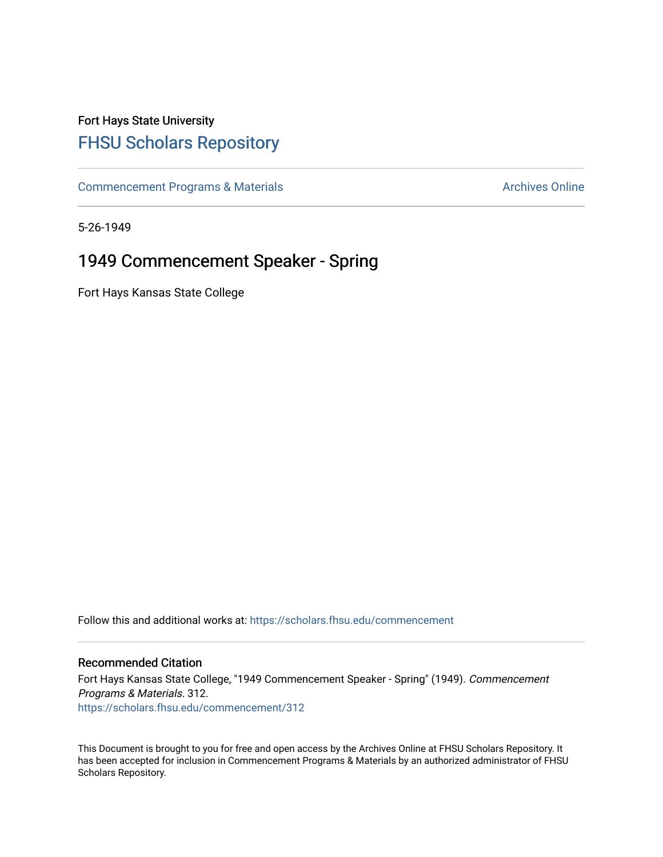## Fort Hays State University [FHSU Scholars Repository](https://scholars.fhsu.edu/)

[Commencement Programs & Materials](https://scholars.fhsu.edu/commencement) **Archives Online** Archives Online

5-26-1949

## 1949 Commencement Speaker - Spring

Fort Hays Kansas State College

Follow this and additional works at: [https://scholars.fhsu.edu/commencement](https://scholars.fhsu.edu/commencement?utm_source=scholars.fhsu.edu%2Fcommencement%2F312&utm_medium=PDF&utm_campaign=PDFCoverPages)

## Recommended Citation

Fort Hays Kansas State College, "1949 Commencement Speaker - Spring" (1949). Commencement Programs & Materials. 312. [https://scholars.fhsu.edu/commencement/312](https://scholars.fhsu.edu/commencement/312?utm_source=scholars.fhsu.edu%2Fcommencement%2F312&utm_medium=PDF&utm_campaign=PDFCoverPages)

This Document is brought to you for free and open access by the Archives Online at FHSU Scholars Repository. It has been accepted for inclusion in Commencement Programs & Materials by an authorized administrator of FHSU Scholars Repository.